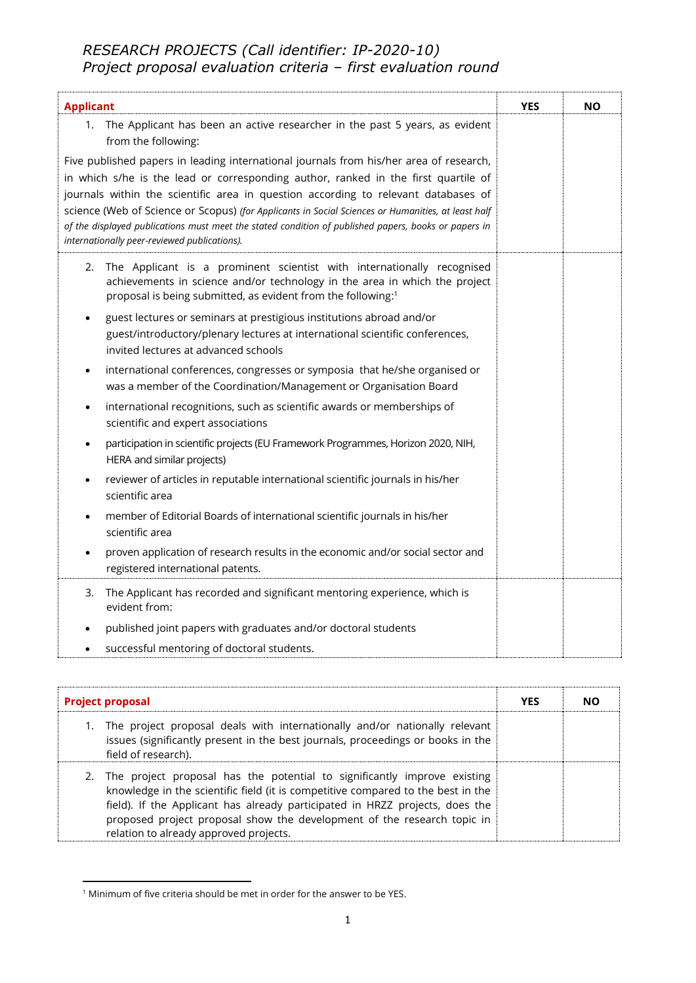## *RESEARCH PROJECTS (Call identifier: IP-2020-10) Project proposal evaluation criteria – first evaluation round*

| <b>Applicant</b>                                                                                                                                                                                                                                                                                                                                                         | <b>YES</b> | <b>NO</b> |
|--------------------------------------------------------------------------------------------------------------------------------------------------------------------------------------------------------------------------------------------------------------------------------------------------------------------------------------------------------------------------|------------|-----------|
| 1. The Applicant has been an active researcher in the past 5 years, as evident<br>from the following:                                                                                                                                                                                                                                                                    |            |           |
| Five published papers in leading international journals from his/her area of research,<br>in which s/he is the lead or corresponding author, ranked in the first quartile of<br>journals within the scientific area in question according to relevant databases of<br>science (Web of Science or Scopus) (for Applicants in Social Sciences or Humanities, at least half |            |           |
| of the displayed publications must meet the stated condition of published papers, books or papers in<br>internationally peer-reviewed publications).                                                                                                                                                                                                                     |            |           |
| The Applicant is a prominent scientist with internationally recognised<br>2.<br>achievements in science and/or technology in the area in which the project<br>proposal is being submitted, as evident from the following:1                                                                                                                                               |            |           |
| guest lectures or seminars at prestigious institutions abroad and/or<br>٠<br>guest/introductory/plenary lectures at international scientific conferences,<br>invited lectures at advanced schools                                                                                                                                                                        |            |           |
| international conferences, congresses or symposia that he/she organised or<br>٠<br>was a member of the Coordination/Management or Organisation Board                                                                                                                                                                                                                     |            |           |
| international recognitions, such as scientific awards or memberships of<br>$\bullet$<br>scientific and expert associations                                                                                                                                                                                                                                               |            |           |
| participation in scientific projects (EU Framework Programmes, Horizon 2020, NIH,<br>$\bullet$<br>HERA and similar projects)                                                                                                                                                                                                                                             |            |           |
| reviewer of articles in reputable international scientific journals in his/her<br>٠<br>scientific area                                                                                                                                                                                                                                                                   |            |           |
| member of Editorial Boards of international scientific journals in his/her<br>scientific area                                                                                                                                                                                                                                                                            |            |           |
| proven application of research results in the economic and/or social sector and<br>registered international patents.                                                                                                                                                                                                                                                     |            |           |
| The Applicant has recorded and significant mentoring experience, which is<br>3.<br>evident from:                                                                                                                                                                                                                                                                         |            |           |
| published joint papers with graduates and/or doctoral students<br>٠                                                                                                                                                                                                                                                                                                      |            |           |
| successful mentoring of doctoral students.<br>٠                                                                                                                                                                                                                                                                                                                          |            |           |

| <b>Project proposal</b>                                                                                                                                                                                                                                                                                                                                              | <b>YES</b> | NΟ |
|----------------------------------------------------------------------------------------------------------------------------------------------------------------------------------------------------------------------------------------------------------------------------------------------------------------------------------------------------------------------|------------|----|
| 1. The project proposal deals with internationally and/or nationally relevant<br>issues (significantly present in the best journals, proceedings or books in the<br>field of research).                                                                                                                                                                              |            |    |
| 2. The project proposal has the potential to significantly improve existing<br>knowledge in the scientific field (it is competitive compared to the best in the<br>field). If the Applicant has already participated in HRZZ projects, does the<br>proposed project proposal show the development of the research topic in<br>relation to already approved projects. |            |    |

<sup>1</sup> Minimum of five criteria should be met in order for the answer to be YES.